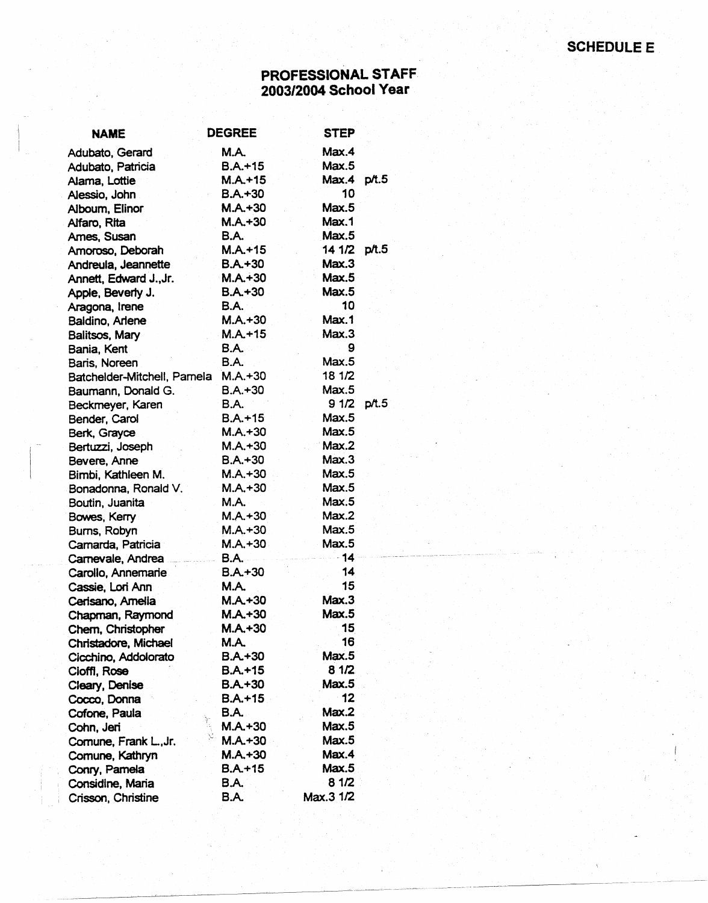## PROFESSIONAL STAFF 2003/2004 School Year

| <b>NAME</b>                 | <b>DEGREE</b> | <b>STEP</b> |       |
|-----------------------------|---------------|-------------|-------|
| Adubato, Gerard             | M.A.          | Max.4       |       |
| Adubato, Patricia           | $B.A.+15$     | Max.5       |       |
| Alama, Lottie               | $M.A. + 15$   | Max.4       | p/t.5 |
| Alessio, John               | $B.A.+30$     | 10          |       |
| Alboum, Elinor              | $M.A. + 30$   | Max.5       |       |
| Alfaro, Rita                | $M.A.+30$     | Max.1       |       |
| Ames, Susan                 | B.A.          | Max.5       |       |
| Amoroso, Deborah            | $M.A. + 15$   | 14 1/2      | p/t.5 |
| Andreula, Jeannette         | $B.A.+30$     | Max.3       |       |
| Annett, Edward J., Jr.      | $M.A. + 30$   | Max.5       |       |
| Apple, Beverty J.           | $B.A. + 30$   | Max.5       |       |
| Aragona, Irene              | <b>B.A.</b>   | 10          |       |
| Baldino, Arlene             | $M.A.+30$     | Max.1       |       |
| Balitsos, Mary              | $M.A. + 15$   | Max.3       |       |
| Bania, Kent                 | B.A.          | 9           |       |
| Baris, Noreen               | <b>B.A.</b>   | Max.5       |       |
| Batchelder-Mitchell, Pamela | $M.A. + 30$   | 18 1/2      |       |
| Baumann, Donald G.          | $B.A.+30$     | Max.5       |       |
| Beckmeyer, Karen            | B.A.          | 91/2        | p/t.5 |
| Bender, Carol               | $B.A.+15$     | Max.5       |       |
| Berk, Grayce                | $M.A. + 30$   | Max.5       |       |
| Bertuzzi, Joseph            | $M.A. + 30$   | Max.2       |       |
| Bevere, Anne                | $B.A.+30$     | Max.3       |       |
| Bimbi, Kathleen M.          | $M.A. + 30$   | Max.5       |       |
| Bonadonna, Ronald V.        | $M.A. + 30$   | Max.5       |       |
| Boutin, Juanita             | M.A.          | Max.5       |       |
| Bowes, Kerry                | $M.A. + 30$   | Max.2       |       |
| Burns, Robyn                | $M.A.+30$     | Max.5       |       |
| Camarda, Patricia           | $M.A. + 30$   | Max.5       |       |
| Carnevale, Andrea           | <b>B.A.</b>   | $-14$       |       |
| Carollo, Annemarie          | $B.A.+30$     | 14          |       |
| Cassie, Lori Ann            | M.A.          | 15          |       |
| Cerisano, Amelia            | $M.A. + 30$   | Max.3       |       |
| Chapman, Raymond            | $M.A.+30$     | Max.5       |       |
| Chem, Christopher           | M.A.+30       | 15          |       |
| Christadore, Michael        | M.A.          | 16          |       |
| Cicchino, Addolorato        | $B.A.+30$     | Max.5       |       |
| Cioffi, Rose                | $B.A.+15$     | 81/2        |       |
| Cleary, Denise              | $B.A. + 30$   | Max.5       |       |
| Cocco, Donna                | $B.A. + 15$   | 12          |       |
| Cofone, Paula               | <b>B.A.</b>   | Max.2       |       |
| Cohn, Jeri                  | $M.A. + 30$   | Max.5       |       |
| Comune, Frank L., Jr.       | $M.A.+30$     | Max.5       |       |
| Comune, Kathryn             | $M.A. + 30$   | Max.4       |       |
| Conry, Pamela               | $B.A.+15$     | Max.5       |       |
| Considine, Maria            | B.A.          | 8 1/2       |       |
| Crisson, Christine          | B.A.          | Max.3 1/2   |       |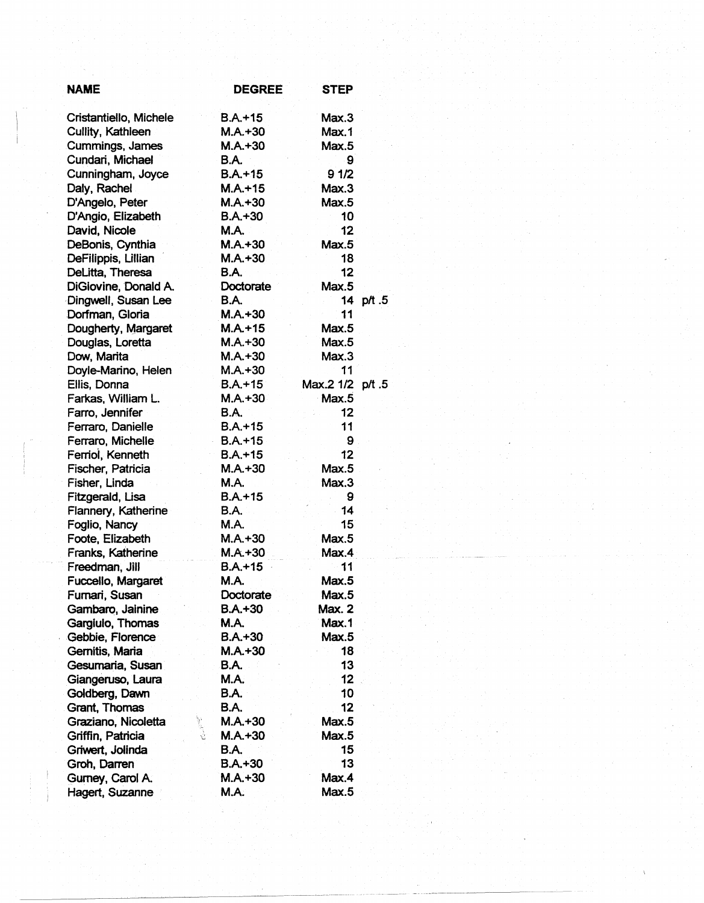| <b>NAME</b>            | <b>DEGREE</b> | <b>STEP</b>   |        |
|------------------------|---------------|---------------|--------|
| Cristantiello, Michele | $B.A.+15$     | Max.3         |        |
| Cullity, Kathleen      | $M.A.+30$     | Max.1         |        |
| Cummings, James        | $M.A. + 30$   | Max.5         |        |
| Cundari, Michael       | B.A.          | 9             |        |
| Cunningham, Joyce      | $B.A.+15$     | 91/2          |        |
| Daly, Rachel           | $M.A. + 15$   | Max.3         |        |
| D'Angelo, Peter        | $M.A. + 30$   | Max.5         |        |
| D'Angio, Elizabeth     | $B.A.+30$     | 10            |        |
| David, Nicole          | <b>M.A.</b>   | 12            |        |
| DeBonis, Cynthia       | $M.A. + 30$   | Max.5         |        |
| DeFilippis, Lillian    | $M.A. + 30$   | 18            |        |
| DeLitta, Theresa       | B.A.          | 12            |        |
| DiGiovine, Donald A.   | Doctorate     | Max.5         |        |
| Dingwell, Susan Lee    | B.A.          | 14            | p/t .5 |
| Dorfman, Gloria        | $M.A. + 30$   | 11            |        |
| Dougherty, Margaret    | $M.A.+15$     | Max.5         |        |
| Douglas, Loretta       | $M.A.+30$     | Max.5         |        |
| Dow, Marita            | $M.A. + 30$   | Max.3         |        |
| Doyle-Marino, Helen    | $M.A. + 30$   | 11            |        |
| Ellis, Donna           | $B.A.+15$     | Max.2 1/2     | p/t .5 |
| Farkas, William L.     | M.A.+30       | Max.5         |        |
| Farro, Jennifer        | <b>B.A.</b>   | 12            |        |
| Ferraro, Danielle      | $B.A.+15$     | 11            |        |
| Ferraro, Michelle      | $B.A. + 15$   | 9             |        |
| Ferriol, Kenneth       | $B.A.+15$     | 12            |        |
| Fischer, Patricia      | $M.A.+30$     | Max.5         |        |
| Fisher, Linda          | M.A.          | Max.3         |        |
| Fitzgerald, Lisa       | B.A.+15       | 9             |        |
| Flannery, Katherine    | <b>B.A.</b>   | 14            |        |
| Foglio, Nancy          | M.A.          | 15            |        |
| Foote, Elizabeth       | $M.A. + 30$   | Max.5         |        |
| Franks, Katherine      | $M.A.+30$     | Max.4         |        |
| Freedman, Jill         | $B.A. + 15$   | 11            |        |
| Fuccello, Margaret     | M.A.          | Max.5         |        |
| Furnari, Susan         | Doctorate     | Max.5         |        |
| Gambaro, Jainine       | $B.A. + 30$   | <b>Max. 2</b> |        |
| Gargiulo, Thomas       | <b>M.A.</b>   | Max.1         |        |
| Gebbie, Florence       | $B.A. + 30$   | Max.5         |        |
| Gernitis, Maria        | $M.A.+30$     | 18            |        |
| Gesumaria, Susan       | <b>B.A.</b>   | 13            |        |
| Giangeruso, Laura      | <b>M.A.</b>   | 12            |        |
| Goldberg, Dawn         | B.A.          | 10            |        |
| <b>Grant, Thomas</b>   | <b>B.A.</b>   | 12            |        |
| Graziano, Nicoletta    | $M.A.+30$     | Max.5         |        |
| Griffin, Patricia      | $M.A. + 30$   | Max.5         |        |
| Griwert, Jolinda       | <b>B.A.</b>   | 15            |        |
| Groh, Darren           | $B.A.+30$     | 13            |        |
| Gumey, Carol A.        | $M.A. + 30$   | Max.4         |        |
| Hagert, Suzanne        | M.A.          | Max.5         |        |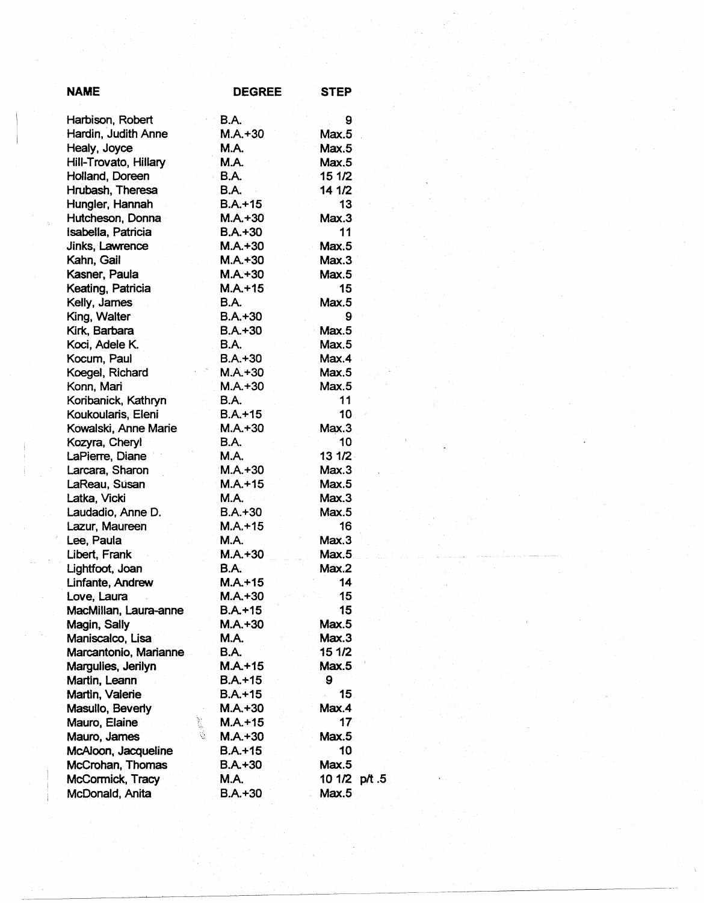| <b>NAME</b>           | <b>DEGREE</b>      | <b>STEP</b>   |
|-----------------------|--------------------|---------------|
| Harbison, Robert      | B.A.               | 9             |
| Hardin, Judith Anne   | $M.A.+30$          | Max.5         |
| Healy, Joyce          | M.A.               | Max.5         |
| Hill-Trovato, Hillary | M.A.               | Max.5         |
| Holland, Doreen       | <b>B.A.</b>        | 15 1/2        |
| Hrubash, Theresa      | <b>B.A.</b>        | 14 1/2        |
| Hungler, Hannah       | $B.A.+15$          | 13            |
| Hutcheson, Donna      | $M.A. + 30$        | Max.3         |
| Isabella, Patricia    | $B.A.+30$          | 11            |
| Jinks, Lawrence       | $M.A. + 30$        | Max.5         |
| Kahn, Gail            | $M.A. + 30$        | Max.3         |
| Kasner, Paula         | $M.A. + 30$        | Max.5         |
| Keating, Patricia     | $M.A. + 15$        | 15            |
| Kelly, James          | <b>B.A.</b>        | Max.5         |
| King, Walter          | $B.A.+30$          | 9             |
| Kirk, Barbara         | $B.A.+30$          | Max.5         |
| Koci, Adele K.        | <b>B.A.</b>        | Max.5         |
| Kocum, Paul           | $B.A. + 30$        | Max.4         |
| Koegel, Richard       | $M.A. + 30$        | Max.5         |
| Konn, Mari            | $M.A. + 30$        | Max.5         |
| Koribanick, Kathryn   | <b>B.A.</b>        | 11            |
| Koukoularis, Eleni    | $B.A.+15$          | 10            |
| Kowalski, Anne Marie  | $M.A. + 30$        | Max.3         |
| Kozyra, Cheryl        | <b>B.A.</b>        | 10            |
| LaPierre, Diane       | <b>M.A.</b>        | 131/2         |
| Larcara, Sharon       | $M.A. + 30$        | Max.3         |
| LaReau, Súsan         | $M.A. + 15$        | Max.5         |
| Latka, Vicki          | <b>M.A.</b>        | Max.3         |
| Laudadio, Anne D.     | $B.A.+30$          | Max.5         |
| Lazur, Maureen        | $M.A. + 15$        | 16            |
| Lee, Paula            | <b>M.A.</b>        | Max.3         |
| Libert, Frank         | $M.A. + 30$        | Max.5         |
| Lightfoot, Joan       | B.A.               | Max.2         |
| Linfante, Andrew      | $M.A. + 15$        | 14            |
| Love, Laura           | $M.A.+30$          | 15            |
| MacMillan, Laura-anne | <b>B.A.+15</b>     | 15            |
| Magin, Sally          | $M.A.+30$          | Max.5         |
| Maniscalco, Lisa      | <b>M.A.</b>        | Max.3         |
| Marcantonio, Marianne | B.A.               | 15 1/2        |
| Margulies, Jerilyn    | $M.A. + 15$        | Max.5         |
| Martin, Leann         | $B.A.+15$          | 9             |
| Martin, Valerie       | $B.A.+15$          | 15            |
| Masullo, Beverly      | $M.A.+30$          | Max.4         |
| Mauro, Elaine         | 家庭院<br>$M.A. + 15$ | 17            |
| Mauro, James          | $M.A.+30$          | Max.5         |
| McAloon, Jacqueline   | $B.A.+15$          | 10            |
| McCrohan, Thomas      | $B.A.+30$          | Max.5         |
| McCormick, Tracy      | <b>M.A.</b>        | 10 1/2 p/t .5 |
| McDonald, Anita       | $B.A. + 30$        | Max.5         |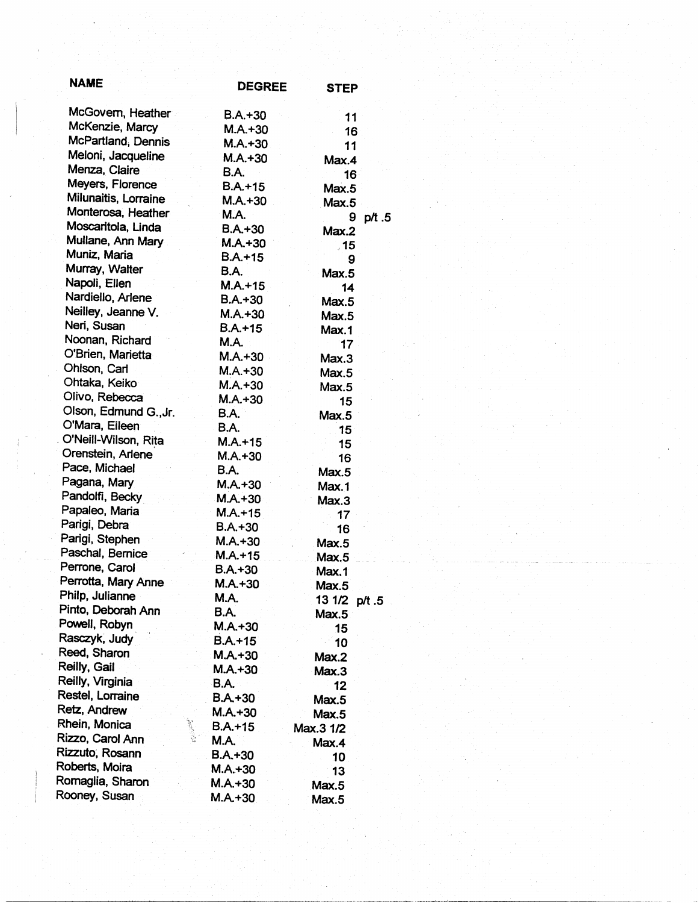| <b>NAME</b>                         | <b>DEGREE</b> | <b>STEP</b>   |
|-------------------------------------|---------------|---------------|
| McGovern, Heather                   | $B.A. + 30$   | 11            |
| McKenzie, Marcy                     | $M.A.+30$     | 16            |
| McPartland, Dennis                  | $M.A.+30$     | 11            |
| Meloni, Jacqueline                  | $M.A. + 30$   | Max.4         |
| Menza, Claire                       | <b>B.A.</b>   | 16            |
| Meyers, Florence                    | $B.A. + 15$   | Max.5         |
| Milunaitis, Lorraine                | $M.A. + 30$   | Max.5         |
| Monterosa, Heather                  | <b>M.A.</b>   | 9<br>p/t.5    |
| Moscaritola, Linda                  | $B.A. + 30$   | Max.2         |
| Mullane, Ann Mary                   | $M.A. + 30$   | .15           |
| Muniz, Maria                        | $B.A.+15$     | 9             |
| Murray, Walter                      | B.A.          | Max.5         |
| Napoli, Ellen                       | $M.A. + 15$   | 14            |
| Nardiello, Arlene                   | B.A.+30       | Max.5         |
| Neilley, Jeanne V.                  | M.A.+30       | Max.5         |
| Neri, Susan                         | $B.A.+15$     | Max.1         |
| Noonan, Richard                     | <b>M.A.</b>   | 17            |
| O'Brien, Marietta                   | $M.A. + 30$   | Max.3         |
| Ohlson, Carl                        | $M.A.+30$     | Max.5         |
| Ohtaka, Keiko                       | $M.A. + 30$   | Max.5         |
| Olivo, Rebecca                      | $M.A.+30$     | 15            |
| Olson, Edmund G., Jr.               | B.A.          | Max.5         |
| O'Mara, Eileen                      | B.A.          | 15            |
| O'Neill-Wilson, Rita                | $M.A. + 15$   | 15            |
| Orenstein, Arlene                   | $M.A.+30$     | 16            |
| Pace, Michael                       | B.A.          | Max.5         |
| Pagana, Mary                        | $M.A. + 30$   | Max.1         |
| Pandolfi, Becky                     | $M.A.+30$     | Max.3         |
| Papaleo, Maria                      | $M.A.+15$     | 17            |
| Parigi, Debra                       | $B.A. + 30$   | 16            |
| Parigi, Stephen                     | $M.A.+30$     | Max.5         |
| Paschal, Bernice                    | $M.A. + 15$   | Max.5         |
| Perrone, Carol                      | $B.A. + 30$   | Max.1         |
| Perrotta, Mary Anne                 | $M.A. + 30$   | Max.5         |
| Philp, Julianne                     | M.A.          | 13 1/2 p/t .5 |
| Pinto, Deborah Ann<br>Powell, Robyn | <b>B.A.</b>   | Max.5         |
| Rasczyk, Judy                       | $M.A. + 30$   | 15            |
| Reed, Sharon                        | $B.A.+15$     | 10            |
| Reilly, Gail                        | $M.A.+30$     | Max.2         |
| Reilly, Virginia                    | $M.A.+30$     | Max.3         |
| Restel, Lorraine                    | <b>B.A.</b>   | 12            |
| Retz, Andrew                        | B.A.+30       | Max.5         |
| Rhein, Monica                       | $M.A.+30$     | Max.5         |
| Rizzo, Carol Ann                    | $B.A.+15$     | Max.3 1/2     |
| Rizzuto, Rosann                     | M.A.          | Max.4         |
| Roberts, Moira                      | B.A.+30       | 10            |
| Romaglia, Sharon                    | M.A.+30       | 13            |
| Rooney, Susan                       | M.A.+30       | Max.5         |
|                                     | $M.A. + 30$   | Max.5         |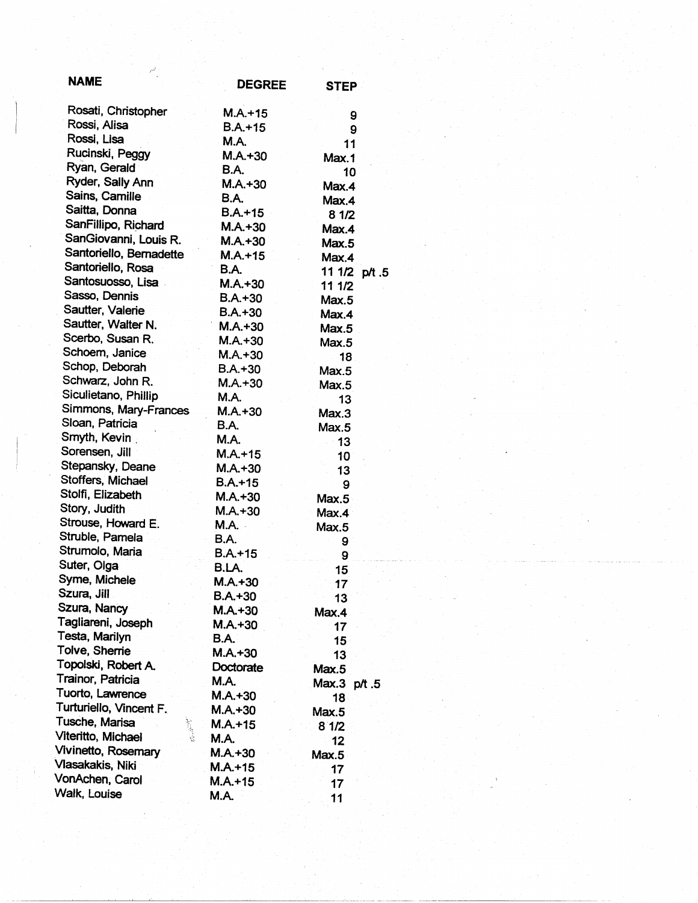| <b>NAME</b>               | <b>DEGREE</b>    | <b>STEP</b>     |  |
|---------------------------|------------------|-----------------|--|
| Rosati, Christopher       | $M.A. + 15$      | 9               |  |
| Rossi, Alisa              | $B.A. + 15$      | 9               |  |
| Rossi, Lisa               | <b>M.A.</b>      | 11              |  |
| Rucinski, Peggy           | $M.A.+30$        | Max.1           |  |
| Ryan, Gerald              | <b>B.A.</b>      | 10              |  |
| Ryder, Sally Ann          | $M.A.+30$        | Max.4           |  |
| Sains, Camille            | <b>B.A.</b>      | Max.4           |  |
| Saitta, Donna             | $B.A.+15$        | 81/2            |  |
| SanFillipo, Richard       | $M.A.+30$        | Max.4           |  |
| SanGiovanni, Louis R.     | $M.A. + 30$      | Max.5           |  |
| Santoriello, Bernadette   | $M.A.+15$        | Max.4           |  |
| Santoriello, Rosa         | <b>B.A.</b>      | 11 1/2 p/t .5   |  |
| Santosuosso, Lisa         | $M.A. + 30$      | 11 1/2          |  |
| Sasso, Dennis             | B.A.+30          | Max.5           |  |
| Sautter, Valerie          | $B.A.+30$        | Max.4           |  |
| Sautter, Walter N.        | $M.A.+30$        | Max.5           |  |
| Scerbo, Susan R.          | $M.A. + 30$      | Max.5           |  |
| Schoem, Janice            | $M.A.+30$        | 18              |  |
| Schop, Deborah            | $B.A.+30$        | Max.5           |  |
| Schwarz, John R.          | $M.A.+30$        | Max.5           |  |
| Siculietano, Phillip      | M.A.             | 13              |  |
| Simmons, Mary-Frances     | $M.A. + 30$      | Max.3           |  |
| Sloan, Patricia           | <b>B.A.</b>      | Max.5           |  |
| Smyth, Kevin              | <b>M.A.</b>      | 13              |  |
| Sorensen, Jill            | $M.A. + 15$      | 10              |  |
| Stepansky, Deane          | $M.A.+30$        | 13              |  |
| Stoffers, Michael         | $B.A.+15$        | 9               |  |
| Stolfi, Elizabeth         | $M.A. + 30$      | Max.5           |  |
| Story, Judith             | $M.A.+30$        | Max.4           |  |
| Strouse, Howard E.        | M.A. -           | Max.5           |  |
| Struble, Pamela           | <b>B.A.</b>      | 9               |  |
| Strumolo, Maria           | $B.A. + 15$      | 9               |  |
| Suter, Olga               | B.LA.            | 15              |  |
| Syme, Michele             | $M.A. + 30$      |                 |  |
| Szura, Jill               | $B.A.+30$        | 17<br>13        |  |
| Szura, Nancy              | $M.A. + 30$      | Max.4           |  |
| Tagliareni, Joseph        | M.A.+30          | 17              |  |
| Testa, Marilyn            | B.A.             | 15              |  |
| Tolve, Sherrie            | M.A.+30          | 13              |  |
| Topolski, Robert A.       | <b>Doctorate</b> |                 |  |
| Trainor, Patricia         | M.A.             | Max.5           |  |
| Tuorto, Lawrence          | $M.A. + 30$      | Max.3 p/t.5     |  |
| Turturiello, Vincent F.   | M.A.+30          | 18 <sup>°</sup> |  |
| Tusche, Marisa            | $M.A.+15$        | Max.5           |  |
| 大学生<br>Viteritto, Michael | M.A.             | 8'1/2           |  |
| Vivinetto, Rosemary       | $M.A. + 30$      | 12              |  |
| Vlasakakis, Niki          | $M.A. + 15$      | Max.5           |  |
| VonAchen, Carol           | $M.A.+15$        | 17              |  |
| Walk, Louise              |                  | 17              |  |
|                           | M.A.             | 11              |  |

*r'*